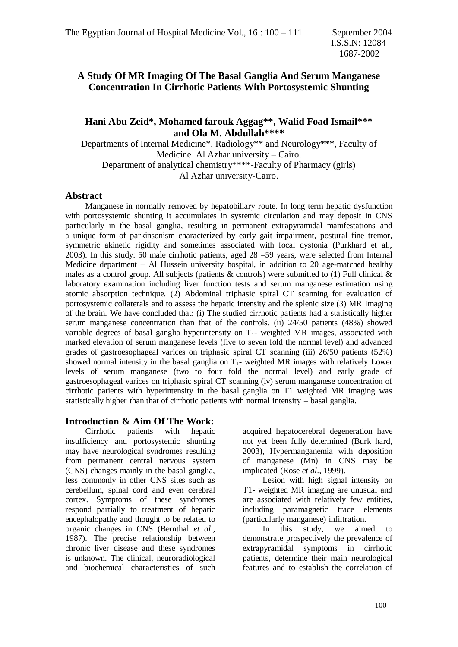# **A Study Of MR Imaging Of The Basal Ganglia And Serum Manganese Concentration In Cirrhotic Patients With Portosystemic Shunting**

### **Hani Abu Zeid\*, Mohamed farouk Aggag\*\*, Walid Foad Ismail\*\*\* and Ola M. Abdullah\*\*\*\***

Departments of Internal Medicine\*, Radiology\*\* and Neurology\*\*\*, Faculty of Medicine Al Azhar university – Cairo. Department of analytical chemistry\*\*\*\*-Faculty of Pharmacy (girls) Al Azhar university-Cairo.

### **Abstract**

 Manganese in normally removed by hepatobiliary route. In long term hepatic dysfunction with portosystemic shunting it accumulates in systemic circulation and may deposit in CNS particularly in the basal ganglia, resulting in permanent extrapyramidal manifestations and a unique form of parkinsonism characterized by early gait impairment, postural fine tremor, symmetric akinetic rigidity and sometimes associated with focal dystonia (Purkhard et al., 2003). In this study: 50 male cirrhotic patients, aged 28 –59 years, were selected from Internal Medicine department – Al Hussein university hospital, in addition to 20 age-matched healthy males as a control group. All subjects (patients  $\&$  controls) were submitted to (1) Full clinical  $\&$ laboratory examination including liver function tests and serum manganese estimation using atomic absorption technique. (2) Abdominal triphasic spiral CT scanning for evaluation of portosystemic collaterals and to assess the hepatic intensity and the splenic size (3) MR Imaging of the brain. We have concluded that: (i) The studied cirrhotic patients had a statistically higher serum manganese concentration than that of the controls. (ii) 24/50 patients (48%) showed variable degrees of basal ganglia hyperintensity on  $T_1$ - weighted MR images, associated with marked elevation of serum manganese levels (five to seven fold the normal level) and advanced grades of gastroesophageal varices on triphasic spiral CT scanning (iii) 26/50 patients (52%) showed normal intensity in the basal ganglia on  $T_1$ - weighted MR images with relatively Lower levels of serum manganese (two to four fold the normal level) and early grade of gastroesophageal varices on triphasic spiral CT scanning (iv) serum manganese concentration of cirrhotic patients with hyperintensity in the basal ganglia on T1 weighted MR imaging was statistically higher than that of cirrhotic patients with normal intensity – basal ganglia.

### **Introduction & Aim Of The Work:**

 Cirrhotic patients with hepatic insufficiency and portosystemic shunting may have neurological syndromes resulting from permanent central nervous system (CNS) changes mainly in the basal ganglia, less commonly in other CNS sites such as cerebellum, spinal cord and even cerebral cortex. Symptoms of these syndromes respond partially to treatment of hepatic encephalopathy and thought to be related to organic changes in CNS (Bernthal *et al*., 1987). The precise relationship between chronic liver disease and these syndromes is unknown. The clinical, neuroradiological and biochemical characteristics of such

acquired hepatocerebral degeneration have not yet been fully determined (Burk hard, 2003), Hypermanganemia with deposition of manganese (Mn) in CNS may be implicated (Rose *et al*., 1999).

 Lesion with high signal intensity on T1- weighted MR imaging are unusual and are associated with relatively few entities, including paramagnetic trace elements (particularly manganese) infiltration.

 In this study, we aimed to demonstrate prospectively the prevalence of extrapyramidal symptoms in cirrhotic patients, determine their main neurological features and to establish the correlation of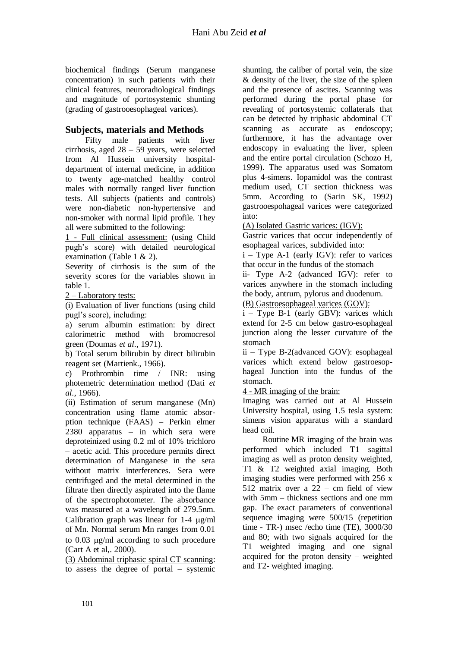biochemical findings (Serum manganese concentration) in such patients with their clinical features, neuroradiological findings and magnitude of portosystemic shunting (grading of gastrooesophageal varices).

### **Subjects, materials and Methods**

 Fifty male patients with liver cirrhosis, aged  $28 - 59$  years, were selected from Al Hussein university hospitaldepartment of internal medicine, in addition to twenty age-matched healthy control males with normally ranged liver function tests. All subjects (patients and controls) were non-diabetic non-hypertensive and non-smoker with normal lipid profile. They all were submitted to the following:

1 - Full clinical assessment: (using Child pugh's score) with detailed neurological examination (Table 1 & 2).

Severity of cirrhosis is the sum of the severity scores for the variables shown in table 1.

2 – Laboratory tests:

(i) Evaluation of liver functions (using child pugl's score), including:

a) serum albumin estimation: by direct calorimetric method with bromocresol green (Doumas *et al*., 1971).

b) Total serum bilirubin by direct bilirubin reagent set (Martienk., 1966).

c) Prothrombin time / INR: using photemetric determination method (Dati *et al.*, 1966).

(ii) Estimation of serum manganese (Mn) concentration using flame atomic absorption technique (FAAS) – Perkin elmer 2380 apparatus – in which sera were deproteinized using 0.2 ml of 10% trichloro – acetic acid. This procedure permits direct determination of Manganese in the sera without matrix interferences. Sera were centrifuged and the metal determined in the filtrate then directly aspirated into the flame of the spectrophotometer. The absorbance was measured at a wavelength of 279.5nm. Calibration graph was linear for  $1-4 \mu g/ml$ of Mn. Normal serum Mn ranges from 0.01 to  $0.03 \mu$ g/ml according to such procedure (Cart A et al,. 2000).

(3) Abdominal triphasic spiral CT scanning: to assess the degree of portal – systemic shunting, the caliber of portal vein, the size & density of the liver, the size of the spleen and the presence of ascites. Scanning was performed during the portal phase for revealing of portosystemic collaterals that can be detected by triphasic abdominal CT scanning as accurate as endoscopy; furthermore, it has the advantage over endoscopy in evaluating the liver, spleen and the entire portal circulation (Schozo H, 1999). The apparatus used was Somatom plus 4-simens. Iopamidol was the contrast medium used, CT section thickness was 5mm. According to (Sarin SK, 1992) gastrooespohageal varices were categorized into:

(A) Isolated Gastric varices: (IGV):

Gastric varices that occur independently of esophageal varices, subdivided into:

i – Type A-1 (early IGV): refer to varices that occur in the fundus of the stomach

ii- Type A-2 (advanced IGV): refer to varices anywhere in the stomach including the body, antrum, pylorus and duodenum.

(B) Gastroesophageal varices (GOV):

i – Type B-1 (early GBV): varices which extend for 2-5 cm below gastro-esophageal junction along the lesser curvature of the stomach

ii – Type B-2(advanced GOV): esophageal varices which extend below gastroesophageal Junction into the fundus of the stomach.

4 - MR imaging of the brain:

Imaging was carried out at Al Hussein University hospital, using 1.5 tesla system: simens vision apparatus with a standard head coil.

 Routine MR imaging of the brain was performed which included T1 sagittal imaging as well as proton density weighted, T1 & T2 weighted axial imaging. Both imaging studies were performed with 256 x 512 matrix over a  $22 - cm$  field of view with 5mm – thickness sections and one mm gap. The exact parameters of conventional sequence imaging were 500/15 (repetition time - TR-) msec /echo time (TE), 3000/30 and 80; with two signals acquired for the T1 weighted imaging and one signal acquired for the proton density – weighted and T2- weighted imaging.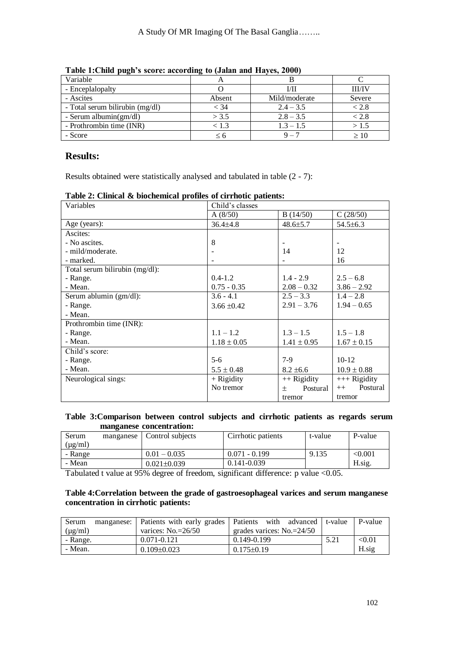| Variable                        | Α      |               |               |
|---------------------------------|--------|---------------|---------------|
| - Enceplalopalty                |        | L/II          | <b>III/IV</b> |
| - Ascites                       | Absent | Mild/moderate | Severe        |
| - Total serum bilirubin (mg/dl) | < 34   | $2.4 - 3.5$   | < 2.8         |
| - Serum albumin(gm/dl)          | > 3.5  | $2.8 - 3.5$   | < 2.8         |
| - Prothrombin time (INR)        | < 1.3  | $1.3 - 1.5$   | >1.5          |
| - Score                         | < 6    | $9-7$         | >10           |
|                                 |        |               |               |

**Table 1:Child pugh's score: according to (Jalan and Hayes, 2000)**

# **Results:**

Results obtained were statistically analysed and tabulated in table (2 - 7):

| Variables                      | Child's classes          |                                  |                  |  |
|--------------------------------|--------------------------|----------------------------------|------------------|--|
|                                | A(8/50)                  | B(14/50)                         | C(28/50)         |  |
| Age (years):                   | $36.4 \pm 4.8$           | $48.6 \pm 5.7$                   | $54.5 \pm 6.3$   |  |
| Ascites:                       |                          |                                  |                  |  |
| - No ascites.                  | 8                        |                                  |                  |  |
| - mild/moderate.               | $\overline{\phantom{a}}$ | 14                               | 12               |  |
| - marked.                      |                          |                                  | 16               |  |
| Total serum bilirubin (mg/dl): |                          |                                  |                  |  |
| - Range.                       | $0.4 - 1.2$              | $1.4 - 2.9$                      | $2.5 - 6.8$      |  |
| - Mean.                        | $0.75 - 0.35$            | $2.08 - 0.32$                    | $3.86 - 2.92$    |  |
| Serum ablumin (gm/dl):         | $3.6 - 4.1$              | $2.5 - 3.3$                      | $1.4 - 2.8$      |  |
| - Range.                       | $3.66 \pm 0.42$          | $2.91 - 3.76$                    | $1.94 - 0.65$    |  |
| - Mean.                        |                          |                                  |                  |  |
| Prothrombin time (INR):        |                          |                                  |                  |  |
| - Range.                       | $1.1 - 1.2$              | $1.3 - 1.5$                      | $1.5 - 1.8$      |  |
| - Mean.                        | $1.18 \pm 0.05$          | $1.41 \pm 0.95$                  | $1.67 \pm 0.15$  |  |
| Child's score:                 |                          |                                  |                  |  |
| - Range.                       | $5-6$                    | $7-9$                            | $10-12$          |  |
| - Mean.                        | $5.5 \pm 0.48$           | $10.9 \pm 0.88$<br>$8.2 \pm 6.6$ |                  |  |
| Neurological sings:            | $+$ Rigidity             | $++$ Rigidity<br>$++$ Rigidity   |                  |  |
|                                | No tremor                | Postural<br>$^{+}$               | Postural<br>$++$ |  |
|                                |                          | tremor                           | tremor           |  |

| Table 2: Clinical & biochemical profiles of cirrhotic patients: |  |
|-----------------------------------------------------------------|--|
|-----------------------------------------------------------------|--|

#### **Table 3:Comparison between control subjects and cirrhotic patients as regards serum manganese concentration:**

| Serum        | manganese | Control subjects  | Cirrhotic patients | t-value | P-value |
|--------------|-----------|-------------------|--------------------|---------|---------|
| $(\mu g/ml)$ |           |                   |                    |         |         |
| - Range      |           | $0.01 - 0.035$    | $0.071 - 0.199$    | 9.135   | < 0.001 |
| - Mean       |           | $0.021 \pm 0.039$ | $0.141 - 0.039$    |         | H.sig.  |

Tabulated t value at 95% degree of freedom, significant difference: p value <0.05.

### **Table 4:Correlation between the grade of gastroesophageal varices and serum manganese concentration in cirrhotic patients:**

| Serum                                | manganese: Patients with early grades Patients with advanced t-value P-value |                             |      |        |
|--------------------------------------|------------------------------------------------------------------------------|-----------------------------|------|--------|
| varices: $No.=26/50$<br>$(\mu g/ml)$ |                                                                              | grades varices: $No.=24/50$ |      |        |
| - Range.                             | $0.071 - 0.121$                                                              | $0.149 - 0.199$             | 5.21 | < 0.01 |
| - Mean.                              | $0.109 \pm 0.023$                                                            | $0.175\pm0.19$              |      | H.sig  |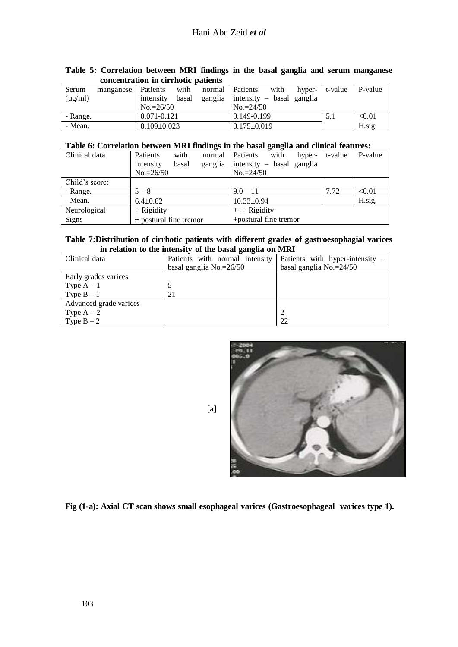| concentration in cirrhotic patients |           |                   |       |  |                                   |      |                |         |
|-------------------------------------|-----------|-------------------|-------|--|-----------------------------------|------|----------------|---------|
| Serum                               | manganese | Patients          | with  |  | normal   Patients                 | with | hyper- t-value | P-value |
| $(\mu g/ml)$                        |           | intensity         | basal |  | ganglia intensity – basal ganglia |      |                |         |
|                                     |           | $No.=26/50$       |       |  | $No. = 24/50$                     |      |                |         |
| - Range.                            |           | $0.071 - 0.121$   |       |  | $0.149 - 0.199$                   |      | 5.1            | < 0.01  |
| - Mean.                             |           | $0.109 \pm 0.023$ |       |  | $0.175 \pm 0.019$                 |      |                | H.sig.  |

### **Table 5: Correlation between MRI findings in the basal ganglia and serum manganese concentration in cirrhotic patients**

#### **Table 6: Correlation between MRI findings in the basal ganglia and clinical features:**

| Clinical data  | with<br>Patients           | normal ' | Patients<br>with<br>hyper-  | t-value | P-value |
|----------------|----------------------------|----------|-----------------------------|---------|---------|
|                | basal<br>intensity         | ganglia  | $intensity - basal$ ganglia |         |         |
|                | $No.=26/50$                |          | $No.=24/50$                 |         |         |
| Child's score: |                            |          |                             |         |         |
| - Range.       | $5 - 8$                    |          | $9.0 - 11$                  | 7.72    | < 0.01  |
| - Mean.        | $6.4 \pm 0.82$             |          | 10.33±0.94                  |         | H.sig.  |
| Neurological   | $+$ Rigidity               |          | $++$ Rigidity               |         |         |
| Signs          | $\pm$ postural fine tremor |          | +postural fine tremor       |         |         |

#### **Table 7:Distribution of cirrhotic patients with different grades of gastroesophagial varices in relation to the intensity of the basal ganglia on MRI**

| Clinical data          | Patients with normal intensity | Patients with hyper-intensity – |
|------------------------|--------------------------------|---------------------------------|
|                        | basal ganglia $No.=26/50$      | basal ganglia $No.=24/50$       |
| Early grades varices   |                                |                                 |
| Type $A - 1$           |                                |                                 |
| Type $B - 1$           | 21                             |                                 |
| Advanced grade varices |                                |                                 |
| Type $A - 2$           |                                |                                 |
| Type $B - 2$           |                                | 22                              |



 $[a]$ 

**Fig (1-a): Axial CT scan shows small esophageal varices (Gastroesophageal varices type 1).**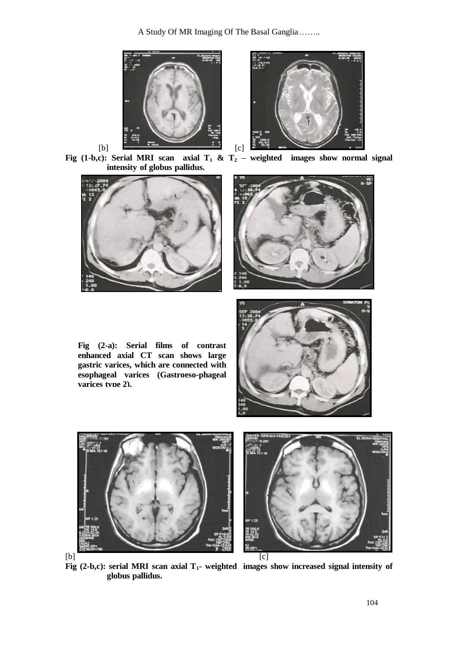A Study Of MR Imaging Of The Basal Ganglia……..



**Fig** (1-b,c): Serial MRI scan axial  $T_1$  &  $T_2$  – weighted images show normal signal **intensity of globus pallidus.** 





**Fig (2-a): Serial films of contrast enhanced axial CT scan shows large gastric varices, which are connected with esophageal varices (Gastroeso-phageal**  varices type 2).







**Fig (2-b,c): serial MRI scan axial T1- weighted images show increased signal intensity of globus pallidus.**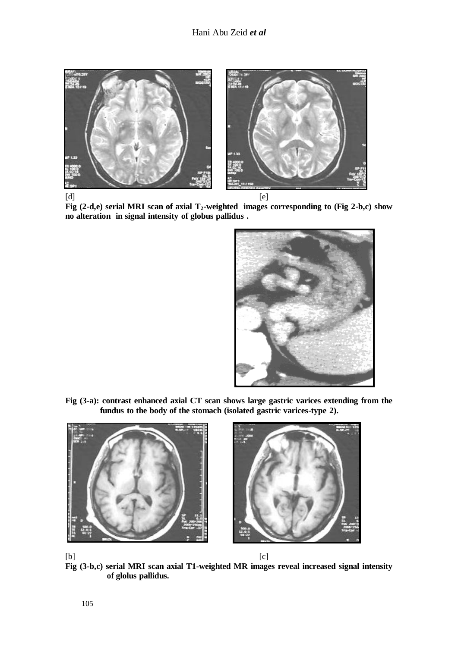

**Fig (2-d,e) serial MRI scan of axial T2-weighted images corresponding to (Fig 2-b,c) show no alteration in signal intensity of globus pallidus .** 



**Fig (3-a): contrast enhanced axial CT scan shows large gastric varices extending from the fundus to the body of the stomach (isolated gastric varices-type 2).**



**Fig (3-b,c) serial MRI scan axial T1-weighted MR images reveal increased signal intensity of glolus pallidus.**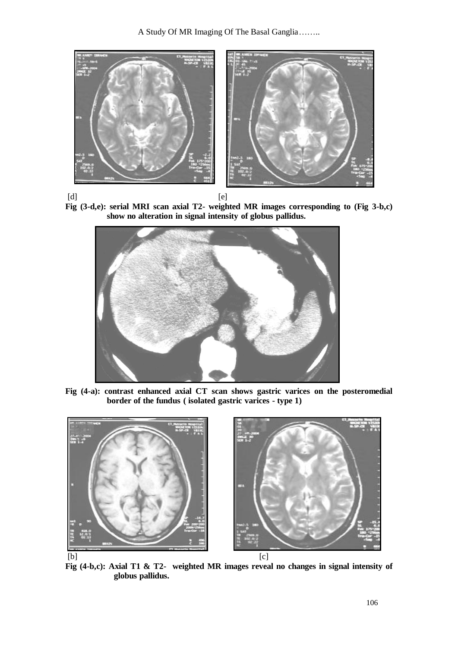A Study Of MR Imaging Of The Basal Ganglia……..



 $[d]$  [e] **Fig (3-d,e): serial MRI scan axial T2- weighted MR images corresponding to (Fig 3-b,c) show no alteration in signal intensity of globus pallidus.** 



**Fig (4-a): contrast enhanced axial CT scan shows gastric varices on the posteromedial border of the fundus ( isolated gastric varices - type 1)**



**Fig (4-b,c): Axial T1 & T2- weighted MR images reveal no changes in signal intensity of globus pallidus.**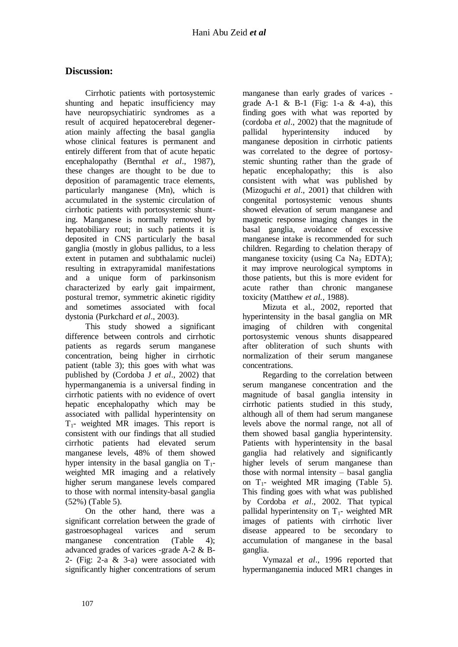# **Discussion:**

 Cirrhotic patients with portosystemic shunting and hepatic insufficiency may have neuropsychiatiric syndromes as a result of acquired hepatocerebral degeneration mainly affecting the basal ganglia whose clinical features is permanent and entirely different from that of acute hepatic encephalopathy (Bernthal *et al*., 1987), these changes are thought to be due to deposition of paramagentic trace elements, particularly manganese (Mn), which is accumulated in the systemic circulation of cirrhotic patients with portosystemic shunting. Manganese is normally removed by hepatobiliary rout; in such patients it is deposited in CNS particularly the basal ganglia (mostly in globus pallidus, to a less extent in putamen and subthalamic nuclei) resulting in extrapyramidal manifestations and a unique form of parkinsonism characterized by early gait impairment, postural tremor, symmetric akinetic rigidity and sometimes associated with focal dystonia (Purkchard *et al*., 2003).

 This study showed a significant difference between controls and cirrhotic patients as regards serum manganese concentration, being higher in cirrhotic patient (table 3); this goes with what was published by (Cordoba J *et al*., 2002) that hypermanganemia is a universal finding in cirrhotic patients with no evidence of overt hepatic encephalopathy which may be associated with pallidal hyperintensity on  $T_1$ - weighted MR images. This report is consistent with our findings that all studied cirrhotic patients had elevated serum manganese levels, 48% of them showed hyper intensity in the basal ganglia on  $T_1$ weighted MR imaging and a relatively higher serum manganese levels compared to those with normal intensity-basal ganglia (52%) (Table 5).

 On the other hand, there was a significant correlation between the grade of gastroesophageal varices and serum manganese concentration (Table 4); advanced grades of varices -grade A-2 & B-2- (Fig: 2-a & 3-a) were associated with significantly higher concentrations of serum

manganese than early grades of varices grade A-1  $\&$  B-1 (Fig: 1-a  $\&$  4-a), this finding goes with what was reported by (cordoba *et al*., 2002) that the magnitude of pallidal hyperintensity induced by manganese deposition in cirrhotic patients was correlated to the degree of portosystemic shunting rather than the grade of hepatic encephalopathy; this is also consistent with what was published by (Mizoguchi *et al*., 2001) that children with congenital portosystemic venous shunts showed elevation of serum manganese and magnetic response imaging changes in the basal ganglia, avoidance of excessive manganese intake is recommended for such children. Regarding to chelation therapy of manganese toxicity (using  $Ca\ Na$ <sub>2</sub> EDTA); it may improve neurological symptoms in those patients, but this is more evident for acute rather than chronic manganese toxicity (Matthew *et al.,* 1988).

 Mizuta et al., 2002, reported that hyperintensity in the basal ganglia on MR imaging of children with congenital portosystemic venous shunts disappeared after obliteration of such shunts with normalization of their serum manganese concentrations.

 Regarding to the correlation between serum manganese concentration and the magnitude of basal ganglia intensity in cirrhotic patients studied in this study, although all of them had serum manganese levels above the normal range, not all of them showed basal ganglia hyperintensity. Patients with hyperintensity in the basal ganglia had relatively and significantly higher levels of serum manganese than those with normal intensity – basal ganglia on  $T_1$ - weighted MR imaging (Table 5). This finding goes with what was published by Cordoba *et al*., 2002. That typical pallidal hyperintensity on  $T_1$ - weighted MR images of patients with cirrhotic liver disease appeared to be secondary to accumulation of manganese in the basal ganglia.

 Vymazal *et al*., 1996 reported that hypermanganemia induced MR1 changes in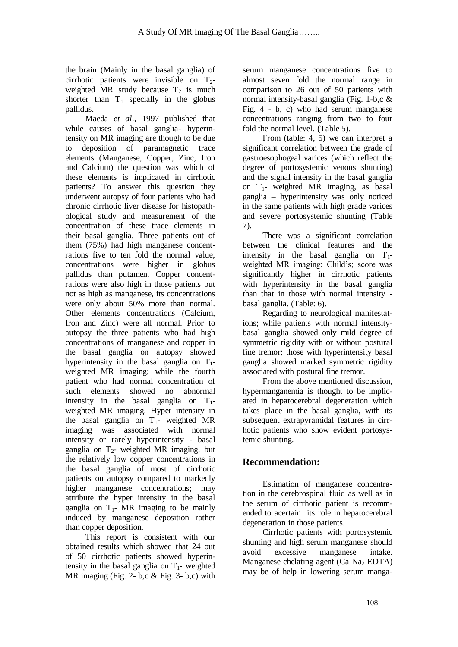the brain (Mainly in the basal ganglia) of cirrhotic patients were invisible on  $T_{2}$ weighted MR study because  $T_2$  is much shorter than  $T_1$  specially in the globus pallidus.

 Maeda *et al*., 1997 published that while causes of basal ganglia- hyperintensity on MR imaging are though to be due to deposition of paramagnetic trace elements (Manganese, Copper, Zinc, Iron and Calcium) the question was which of these elements is implicated in cirrhotic patients? To answer this question they underwent autopsy of four patients who had chronic cirrhotic liver disease for histopathological study and measurement of the concentration of these trace elements in their basal ganglia. Three patients out of them (75%) had high manganese concentrations five to ten fold the normal value; concentrations were higher in globus pallidus than putamen. Copper concentrations were also high in those patients but not as high as manganese, its concentrations were only about 50% more than normal. Other elements concentrations (Calcium, Iron and Zinc) were all normal. Prior to autopsy the three patients who had high concentrations of manganese and copper in the basal ganglia on autopsy showed hyperintensity in the basal ganglia on  $T_1$ weighted MR imaging; while the fourth patient who had normal concentration of such elements showed no abnormal intensity in the basal ganglia on  $T_1$ weighted MR imaging. Hyper intensity in the basal ganglia on  $T_1$ - weighted MR imaging was associated with normal intensity or rarely hyperintensity - basal ganglia on  $T_2$ - weighted MR imaging, but the relatively low copper concentrations in the basal ganglia of most of cirrhotic patients on autopsy compared to markedly higher manganese concentrations; may attribute the hyper intensity in the basal ganglia on  $T_1$ - MR imaging to be mainly induced by manganese deposition rather than copper deposition.

 This report is consistent with our obtained results which showed that 24 out of 50 cirrhotic patients showed hyperintensity in the basal ganglia on  $T_1$ - weighted MR imaging (Fig. 2- b,c & Fig. 3- b,c) with serum manganese concentrations five to almost seven fold the normal range in comparison to 26 out of 50 patients with normal intensity-basal ganglia (Fig. 1-b,c & Fig. 4 - b, c) who had serum manganese concentrations ranging from two to four fold the normal level. (Table 5).

 From (table: 4, 5) we can interpret a significant correlation between the grade of gastroesophogeal varices (which reflect the degree of portosystemic venous shunting) and the signal intensity in the basal ganglia on  $T_1$ - weighted MR imaging, as basal ganglia – hyperintensity was only noticed in the same patients with high grade varices and severe portosystemic shunting (Table 7).

 There was a significant correlation between the clinical features and the intensity in the basal ganglia on  $T_1$ weighted MR imaging; Child's; score was significantly higher in cirrhotic patients with hyperintensity in the basal ganglia than that in those with normal intensity basal ganglia. (Table: 6).

 Regarding to neurological manifestations; while patients with normal intensitybasal ganglia showed only mild degree of symmetric rigidity with or without postural fine tremor; those with hyperintensity basal ganglia showed marked symmetric rigidity associated with postural fine tremor.

 From the above mentioned discussion, hypermanganemia is thought to be implicated in hepatocerebral degeneration which takes place in the basal ganglia, with its subsequent extrapyramidal features in cirrhotic patients who show evident portosystemic shunting.

# **Recommendation:**

 Estimation of manganese concentration in the cerebrospinal fluid as well as in the serum of cirrhotic patient is recommended to acertain its role in hepatocerebral degeneration in those patients.

 Cirrhotic patients with portosystemic shunting and high serum manganese should avoid excessive manganese intake. Manganese chelating agent (Ca Na<sub>2</sub> EDTA) may be of help in lowering serum manga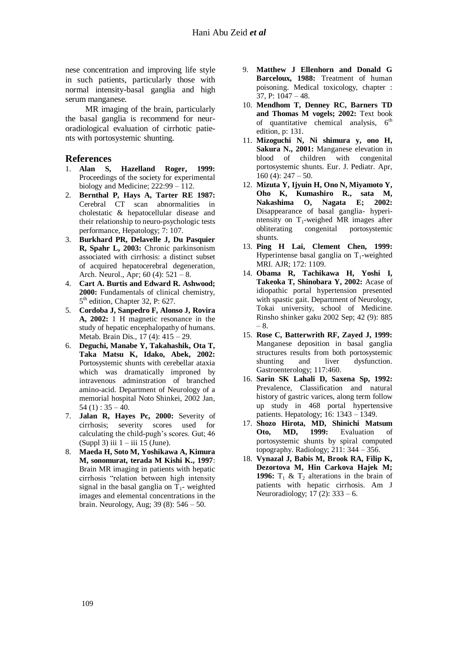nese concentration and improving life style in such patients, particularly those with normal intensity-basal ganglia and high serum manganese.

 MR imaging of the brain, particularly the basal ganglia is recommend for neuroradiological evaluation of cirrhotic patients with portosystemic shunting.

### **References**

- 1. **Alan S, Hazelland Roger, 1999:** Proceedings of the society for experimental biology and Medicine; 222:99 – 112.
- 2. **Bernthal P, Hays A, Tarter RE 1987:** Cerebral CT scan abnormalities in cholestatic & hepatocellular disease and their relationship to neuro-psychologic tests performance, Hepatology; 7: 107.
- 3. **Burkhard PR, Delavelle J, Du Pasquier R, Spahr L, 2003:** Chronic parkinsonism associated with cirrhosis: a distinct subset of acquired hepatocerebral degeneration, Arch. Neurol., Apr: 60 (4):  $521 - 8$ .
- 4. **Cart A. Burtis and Edward R. Ashwood; 2000:** Fundamentals of clinical chemistry, 5<sup>th</sup> edition, Chapter 32, P: 627.
- 5. **Cordoba J, Sanpedro F, Alonso J, Rovira A, 2002:** 1 H magnetic resonance in the study of hepatic encephalopathy of humans. Metab. Brain Dis., 17 (4): 415 – 29.
- 6. **Deguchi, Manabe Y, Takahashik, Ota T, Taka Matsu K, Idako, Abek, 2002:** Portosystemic shunts with cerebellar ataxia which was dramatically improned by intravenous adminstration of branched amino-acid. Department of Neurology of a memorial hospital Noto Shinkei, 2002 Jan,  $54$  (1) :  $35 - 40$ .
- 7. **Jalan R, Hayes Pc, 2000:** Severity of cirrhosis; severity scores used for calculating the child-pugh's scores. Gut; 46 (Suppl 3) iii  $1 -$ iii 15 (June).
- 8. **Maeda H, Soto M, Yoshikawa A, Kimura M, sonomurat, terada M Kishi K., 1997**: Brain MR imaging in patients with hepatic cirrhosis "relation between high intensity signal in the basal ganglia on  $T_1$ - weighted images and elemental concentrations in the brain. Neurology, Aug; 39 (8): 546 – 50.
- 9. **Matthew J Ellenhorn and Donald G Barceloux, 1988:** Treatment of human poisoning. Medical toxicology, chapter : 37, P: 1047 – 48.
- 10. **Mendhom T, Denney RC, Barners TD and Thomas M vogels; 2002:** Text book of quantitative chemical analysis,  $6<sup>th</sup>$ edition, p: 131.
- 11. **Mizoguchi N, Ni shimura y, ono H, Sakura N., 2001:** Manganese elevation in blood of children with congenital portosystemic shunts. Eur. J. Pediatr. Apr,  $160 (4): 247 - 50.$
- 12. **Mizuta Y, Ijyuin H, Ono N, Miyamoto Y, Oho K, Kumashiro R., sata M, Nakashima O, Nagata E; 2002:** Disappearance of basal ganglia- hyperintensity on  $T_1$ -weighed MR images after obliterating congenital portosystemic shunts.
- 13. **Ping H Lai, Clement Chen, 1999:** Hyperintense basal ganglia on  $T_1$ -weighted MRI. AJR; 172: 1109.
- 14. **Obama R, Tachikawa H, Yoshi I, Takeoka T, Shinobara Y, 2002:** Acase of idiopathic portal hypertension presented with spastic gait. Department of Neurology, Tokai university, school of Medicine. Rinsho shinker gaku 2002 Sep; 42 (9): 885 – 8.
- 15. **Rose C, Batterwrith RF, Zayed J, 1999:** Manganese deposition in basal ganglia structures results from both portosystemic shunting and liver dysfunction. Gastroenterology; 117:460.
- 16. **Sarin SK Lahali D, Saxena Sp, 1992:** Prevalence, Classification and natural history of gastric varices, along term follow up study in 468 portal hypertensive patients. Hepatology; 16: 1343 – 1349.
- 17. **Shozo Hirota, MD, Shinichi Matsum Oto, MD, 1999:** Evaluation of portosystemic shunts by spiral computed topography. Radiology; 211: 344 – 356.
- 18. **Vynazal J, Babis M, Brook RA, Filip K, Dezortova M, Hin Carkova Hajek M; 1996:**  $T_1 \& T_2$  alterations in the brain of patients with hepatic cirrhosis. Am J Neuroradiology; 17 (2): 333 – 6.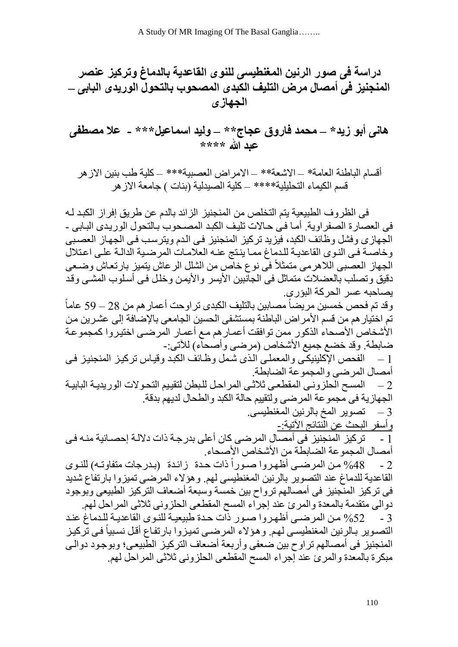**دراسة فً صىر انرنين انمغنطيسً نهنىي انقاعدية باندماغ وتركيس عنصر انمنجنيس فً أمصال مرض انتهيف انكبدي انمصحىب بانتحىل انىريدي انبابً – انجهازي**

**هانً أبى زيد\* – محمد فاروق عجاج\*\* – ونيد اسماعيم\*\*\* - عال مصطفً عبد هللا \*\*\*\***

أقسام الباطنة العامة\* – الاشعة\*\* – الامر اصْ العصبية\*\*\* – كلية طب بنين الاز هر قسم الكيماء التحليلية\*\*\*\* – كلية الصيدلية (بنات ) جامعة الاز هر

في الظرّ وف الطبيعية يتم التخلص من المنجنيز الزّائد بالدم عن طريق إفرّ از الكبد لـه في العصار ة الصفر اوية. أما في حالات تليف الكبد المصحوب بالتحول الوريدي البابي -الجِهاز ي وفشل و ظائف الكبد، فيزيد تركيز المنجنيز في الدم ويترسب في الجهاز العصبي وخاصدة في الذوى القاعدية للدماغ مما ينتج عنه العلامات المرضية الدالة على اعتلال الجهاز العصببي اللاهرمي متمثلاً في نوع خاص من الشلل الرعاش يتميز بارتعاش وضعي دقيق و تصلب بالعضلات متماثل في الجانبين الأيسر ۖ والأيمن وخلل في أسلوب المشبي و قد يصاحبَه عسر الحركة البؤري. وقد تم فحص خمسين مريضاً مصـابين بالتليف الكبدى تر اوحت أعمار هم من 28 – 59 عاماً تم اختيار هم من قسم الأمر اض الباطنة بمستشفى الحسين الجامعي بالإضافة إلى عشر ين من الأشخاص الأصحاء الذكور ممن توافقت أعمار هم مع أعمار المرضىي اختيروا كمجموعة ضابطة. وقد خضع جميع الأشخاص (مرضىي وأصحاء) للأتي:-1 – الفحص الإكلينيكي و المعملي الذي شمل و ظائف الكبد و قيـاس تركيز ِ المنجنيز ِ فـي أمصال المرضى والمجموعة الضابطة. 2 – المسح الحلزوني المقطعي ثلاثي المراحل للبطن لتقييم التحولات الوريدية البابية الجهازية في مجموعة المرضي ولتقييم حالة الكبد و الطحال لديهم بدقة. 3 – تصوير المخ بالرنين المغنطيسي. وأسفر البحث عن الّنتائج الأتية:-1 - تر كيز المنجنيز ۖ في أمصـال المر ضـى كان أعلى بدر جـة ذات دلالـة إحصـائية منـه فـي أمصال المجموعة الضابطة من الأشخاص الأصحاء. 2 - 48% من المرضىي أظهروا صـوراً ذات حـدة زائـدة (بـدرجات متفاوتـه) للنـوي ً القاعدية للدماغ عند التصوير بالرنين المغنطيسي لهم وهؤلاء المرضى تميزوا بارتفاع شديد فی تر كيز ِ المنجنيز ِ في أمصـالهم تر و اح بين خمسة وسبعة أضـعاف التر كيز ِ الطبيعي و بوجود دوالٰي منقدمة بالمعدة والمرئ عند إجراء المسح المقطعي الحلزوني ثلاثي المراحل لهم 3 - 52% من المرضى أظهروا صور ذات حدة طبيعية للذوى القاعديـة للـدماغ عنـد التصـوير ِ بـالرِ نين المغنطيسي لهم. و هؤ لاء المرضـي تميز و ا بار تفـاع أقل نسبياً فـي تر كيـز المنجنيز في أمصـالـهم تر او ح بين ضـعفي و أر بـعة أضـعاف التر كيـز الطّبيعـي؛ و بو جـو د دو الـي مبكرة بالمعدة والمرئ عند إجراء المسح المقطعي الحلزوني تلاثي المراحل لهم